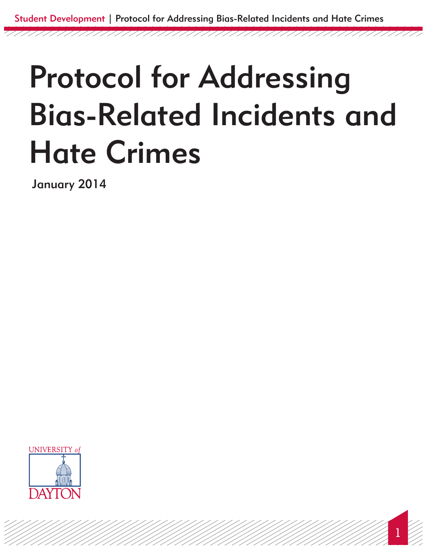# Protocol for Addressing Bias-Related Incidents and Hate Crimes

January 2014



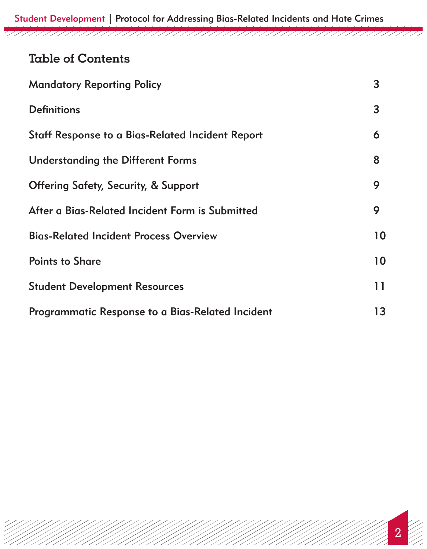Student Development | Protocol for Addressing Bias-Related Incidents and Hate Crimes

## **Table of Contents**

| <b>Mandatory Reporting Policy</b>                | 3  |
|--------------------------------------------------|----|
| <b>Definitions</b>                               | 3  |
| Staff Response to a Bias-Related Incident Report | 6  |
| <b>Understanding the Different Forms</b>         | 8  |
| <b>Offering Safety, Security, &amp; Support</b>  | 9  |
| After a Bias-Related Incident Form is Submitted  | 9  |
| <b>Bias-Related Incident Process Overview</b>    | 10 |
| <b>Points to Share</b>                           | 10 |
| <b>Student Development Resources</b>             | 11 |
| Programmatic Response to a Bias-Related Incident | 13 |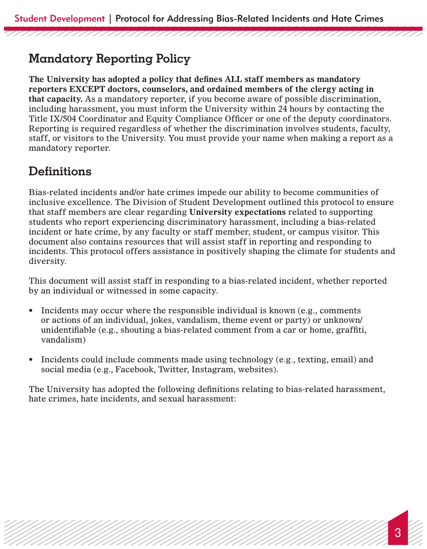# **Mandatory Reporting Policy**

**The University has adopted a policy that defines ALL staff members as mandatory reporters EXCEPT doctors, counselors, and ordained members of the clergy acting in that capacity.** As a mandatory reporter, if you become aware of possible discrimination, including harassment, you must inform the University within 24 hours by contacting the Title IX/504 Coordinator and Equity Compliance Officer or one of the deputy coordinators. Reporting is required regardless of whether the discrimination involves students, faculty, staff, or visitors to the University. You must provide your name when making a report as a mandatory reporter.

# **Definitions**

Bias-related incidents and/or hate crimes impede our ability to become communities of inclusive excellence. The Division of Student Development outlined this protocol to ensure that staff members are clear regarding **University expectations** related to supporting students who report experiencing discriminatory harassment, including a bias-related incident or hate crime, by any faculty or staff member, student, or campus visitor. This document also contains resources that will assist staff in reporting and responding to incidents. This protocol offers assistance in positively shaping the climate for students and diversity.

This document will assist staff in responding to a bias-related incident, whether reported by an individual or witnessed in some capacity.

- Incidents may occur where the responsible individual is known (e.g., comments or actions of an individual, jokes, vandalism, theme event or party) or unknown/ unidentifiable (e.g., shouting a bias-related comment from a car or home, graffiti, vandalism)
- Incidents could include comments made using technology (e.g., texting, email) and social media (e.g., Facebook, Twitter, Instagram, websites).

The University has adopted the following definitions relating to bias-related harassment, hate crimes, hate incidents, and sexual harassment: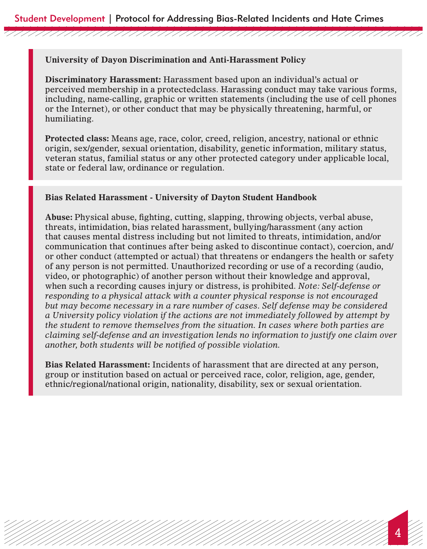#### **University of Dayon Discrimination and Anti-Harassment Policy**

**Discriminatory Harassment:** Harassment based upon an individual's actual or perceived membership in a protectedclass. Harassing conduct may take various forms, including, name-calling, graphic or written statements (including the use of cell phones or the Internet), or other conduct that may be physically threatening, harmful, or humiliating.

**Protected class:** Means age, race, color, creed, religion, ancestry, national or ethnic origin, sex/gender, sexual orientation, disability, genetic information, military status, veteran status, familial status or any other protected category under applicable local, state or federal law, ordinance or regulation.

#### **Bias Related Harassment - University of Dayton Student Handbook**

**Abuse:** Physical abuse, fighting, cutting, slapping, throwing objects, verbal abuse, threats, intimidation, bias related harassment, bullying/harassment (any action that causes mental distress including but not limited to threats, intimidation, and/or communication that continues after being asked to discontinue contact), coercion, and/ or other conduct (attempted or actual) that threatens or endangers the health or safety of any person is not permitted. Unauthorized recording or use of a recording (audio, video, or photographic) of another person without their knowledge and approval, when such a recording causes injury or distress, is prohibited. *Note: Self-defense or responding to a physical attack with a counter physical response is not encouraged but may become necessary in a rare number of cases. Self defense may be considered a University policy violation if the actions are not immediately followed by attempt by the student to remove themselves from the situation. In cases where both parties are claiming self-defense and an investigation lends no information to justify one claim over another, both students will be notified of possible violation.* 

**Bias Related Harassment:** Incidents of harassment that are directed at any person, group or institution based on actual or perceived race, color, religion, age, gender, ethnic/regional/national origin, nationality, disability, sex or sexual orientation.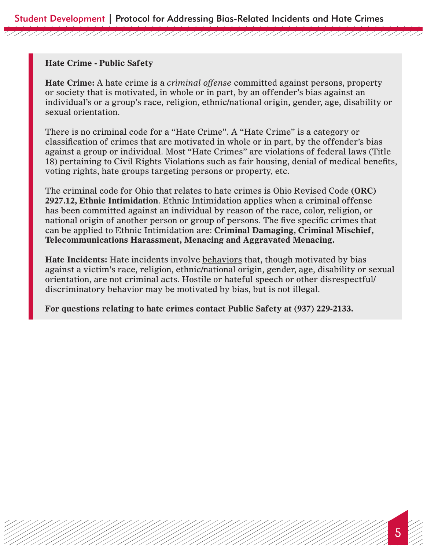#### **Hate Crime - Public Safety**

**Hate Crime:** A hate crime is a *criminal offense* committed against persons, property or society that is motivated, in whole or in part, by an offender's bias against an individual's or a group's race, religion, ethnic/national origin, gender, age, disability or sexual orientation.

There is no criminal code for a "Hate Crime". A "Hate Crime" is a category or classification of crimes that are motivated in whole or in part, by the offender's bias against a group or individual. Most "Hate Crimes" are violations of federal laws (Title 18) pertaining to Civil Rights Violations such as fair housing, denial of medical benefits, voting rights, hate groups targeting persons or property, etc.

The criminal code for Ohio that relates to hate crimes is Ohio Revised Code **(ORC) 2927.12, Ethnic Intimidation**. Ethnic Intimidation applies when a criminal offense has been committed against an individual by reason of the race, color, religion, or national origin of another person or group of persons. The five specific crimes that can be applied to Ethnic Intimidation are: **Criminal Damaging, Criminal Mischief, Telecommunications Harassment, Menacing and Aggravated Menacing.**

**Hate Incidents:** Hate incidents involve behaviors that, though motivated by bias against a victim's race, religion, ethnic/national origin, gender, age, disability or sexual orientation, are not criminal acts. Hostile or hateful speech or other disrespectful/ discriminatory behavior may be motivated by bias, but is not illegal.

**For questions relating to hate crimes contact Public Safety at (937) 229-2133.**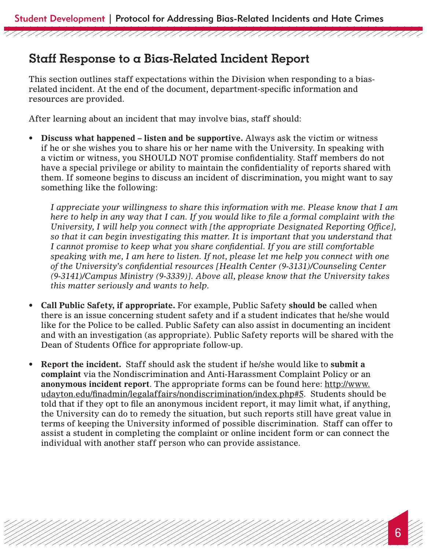## **Staff Response to a Bias-Related Incident Report**

This section outlines staff expectations within the Division when responding to a biasrelated incident. At the end of the document, department-specific information and resources are provided.

After learning about an incident that may involve bias, staff should:

**• Discuss what happened – listen and be supportive.** Always ask the victim or witness if he or she wishes you to share his or her name with the University. In speaking with a victim or witness, you SHOULD NOT promise confidentiality. Staff members do not have a special privilege or ability to maintain the confidentiality of reports shared with them. If someone begins to discuss an incident of discrimination, you might want to say something like the following:

*I appreciate your willingness to share this information with me. Please know that I am here to help in any way that I can. If you would like to file a formal complaint with the University, I will help you connect with [the appropriate Designated Reporting Office], so that it can begin investigating this matter. It is important that you understand that I cannot promise to keep what you share confidential. If you are still comfortable speaking with me, I am here to listen. If not, please let me help you connect with one of the University's confidential resources [Health Center (9-3131)/Counseling Center (9-3141)/Campus Ministry (9-3339)]. Above all, please know that the University takes this matter seriously and wants to help.*

- **• Call Public Safety, if appropriate.** For example, Public Safety **should be** called when there is an issue concerning student safety and if a student indicates that he/she would like for the Police to be called. Public Safety can also assist in documenting an incident and with an investigation (as appropriate). Public Safety reports will be shared with the Dean of Students Office for appropriate follow-up.
- **Report the incident.** Staff should ask the student if he/she would like to submit a **complaint** via the Nondiscrimination and Anti-Harassment Complaint Policy or an **anonymous incident report**. The appropriate forms can be found here: http://www. udayton.edu/finadmin/legalaffairs/nondiscrimination/index.php#5. Students should be told that if they opt to file an anonymous incident report, it may limit what, if anything, the University can do to remedy the situation, but such reports still have great value in terms of keeping the University informed of possible discrimination. Staff can offer to assist a student in completing the complaint or online incident form or can connect the individual with another staff person who can provide assistance.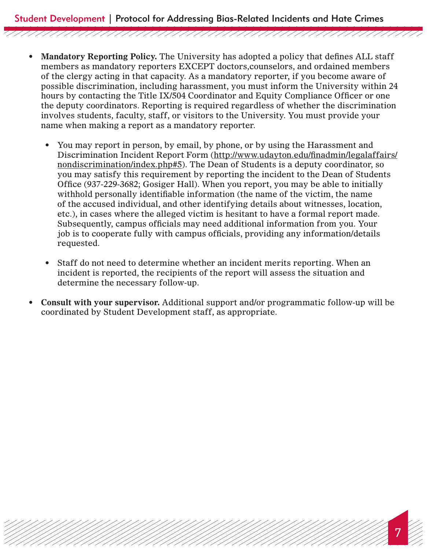Student Development | Protocol for Addressing Bias-Related Incidents and Hate Crimes

• Mandatory Reporting Policy. The University has adopted a policy that defines ALL staff members as mandatory reporters EXCEPT doctors,counselors, and ordained members of the clergy acting in that capacity. As a mandatory reporter, if you become aware of possible discrimination, including harassment, you must inform the University within 24 hours by contacting the Title IX/504 Coordinator and Equity Compliance Officer or one the deputy coordinators. Reporting is required regardless of whether the discrimination involves students, faculty, staff, or visitors to the University. You must provide your name when making a report as a mandatory reporter.

- You may report in person, by email, by phone, or by using the Harassment and Discrimination Incident Report Form (http://www.udayton.edu/finadmin/legalaffairs/ nondiscrimination/index.php#5). The Dean of Students is a deputy coordinator, so you may satisfy this requirement by reporting the incident to the Dean of Students Office (937-229-3682; Gosiger Hall). When you report, you may be able to initially withhold personally identifiable information (the name of the victim, the name of the accused individual, and other identifying details about witnesses, location, etc.), in cases where the alleged victim is hesitant to have a formal report made. Subsequently, campus officials may need additional information from you. Your job is to cooperate fully with campus officials, providing any information/details requested.
- Staff do not need to determine whether an incident merits reporting. When an incident is reported, the recipients of the report will assess the situation and determine the necessary follow-up.
- **Consult with your supervisor.** Additional support and/or programmatic follow-up will be coordinated by Student Development staff, as appropriate.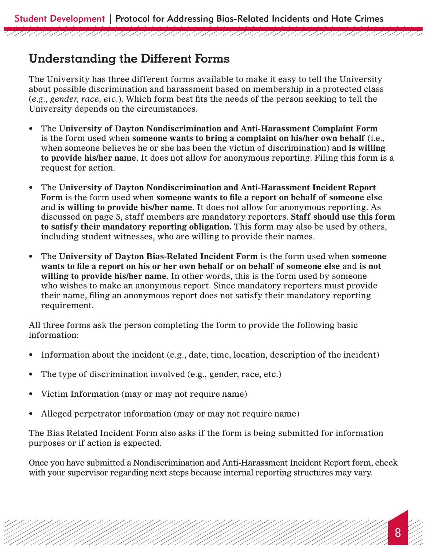## **Understanding the Different Forms**

The University has three different forms available to make it easy to tell the University about possible discrimination and harassment based on membership in a protected class (*e.g., gender, race, etc.*). Which form best fits the needs of the person seeking to tell the University depends on the circumstances.

- • The **University of Dayton Nondiscrimination and Anti-Harassment Complaint Form**  is the form used when **someone wants to bring a complaint on his/her own behalf** (i.e., when someone believes he or she has been the victim of discrimination) and **is willing to provide his/her name**. It does not allow for anonymous reporting. Filing this form is a request for action.
- • The **University of Dayton Nondiscrimination and Anti-Harassment Incident Report Form** is the form used when **someone wants to file a report on behalf of someone else**  and **is willing to provide his/her name**. It does not allow for anonymous reporting. As discussed on page 5, staff members are mandatory reporters. **Staff should use this form to satisfy their mandatory reporting obligation.** This form may also be used by others, including student witnesses, who are willing to provide their names.
- • The **University of Dayton Bias-Related Incident Form** is the form used when **someone wants to file a report on his or her own behalf or on behalf of someone else** and **is not willing to provide his/her name**. In other words, this is the form used by someone who wishes to make an anonymous report. Since mandatory reporters must provide their name, filing an anonymous report does not satisfy their mandatory reporting requirement.

All three forms ask the person completing the form to provide the following basic information:

- Information about the incident (e.g., date, time, location, description of the incident)
- The type of discrimination involved (e.g., gender, race, etc.)
- Victim Information (may or may not require name)
- Alleged perpetrator information (may or may not require name)

The Bias Related Incident Form also asks if the form is being submitted for information purposes or if action is expected.

Once you have submitted a Nondiscrimination and Anti-Harassment Incident Report form, check with your supervisor regarding next steps because internal reporting structures may vary.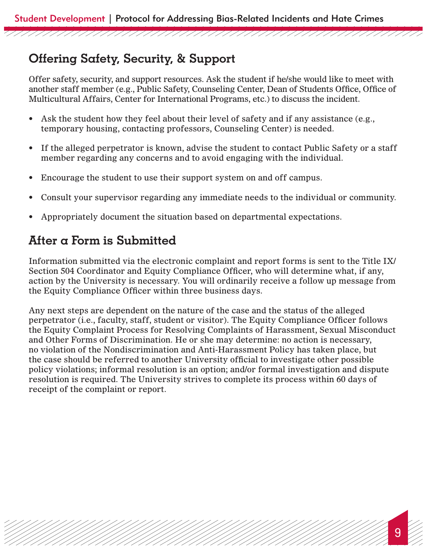# **Offering Safety, Security, & Support**

Offer safety, security, and support resources. Ask the student if he/she would like to meet with another staff member (e.g., Public Safety, Counseling Center, Dean of Students Office, Office of Multicultural Affairs, Center for International Programs, etc.) to discuss the incident.

- Ask the student how they feel about their level of safety and if any assistance (e.g., temporary housing, contacting professors, Counseling Center) is needed.
- If the alleged perpetrator is known, advise the student to contact Public Safety or a staff member regarding any concerns and to avoid engaging with the individual.
- Encourage the student to use their support system on and off campus.
- • Consult your supervisor regarding any immediate needs to the individual or community.
- Appropriately document the situation based on departmental expectations.

# **After a Form is Submitted**

Information submitted via the electronic complaint and report forms is sent to the Title IX/ Section 504 Coordinator and Equity Compliance Officer, who will determine what, if any, action by the University is necessary. You will ordinarily receive a follow up message from the Equity Compliance Officer within three business days.

Any next steps are dependent on the nature of the case and the status of the alleged perpetrator (i.e., faculty, staff, student or visitor). The Equity Compliance Officer follows the Equity Complaint Process for Resolving Complaints of Harassment, Sexual Misconduct and Other Forms of Discrimination. He or she may determine: no action is necessary, no violation of the Nondiscrimination and Anti-Harassment Policy has taken place, but the case should be referred to another University official to investigate other possible policy violations; informal resolution is an option; and/or formal investigation and dispute resolution is required. The University strives to complete its process within 60 days of receipt of the complaint or report.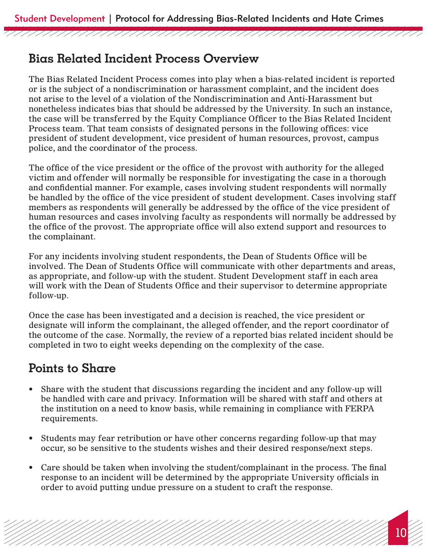## **Bias Related Incident Process Overview**

The Bias Related Incident Process comes into play when a bias-related incident is reported or is the subject of a nondiscrimination or harassment complaint, and the incident does not arise to the level of a violation of the Nondiscrimination and Anti-Harassment but nonetheless indicates bias that should be addressed by the University. In such an instance, the case will be transferred by the Equity Compliance Officer to the Bias Related Incident Process team. That team consists of designated persons in the following offices: vice president of student development, vice president of human resources, provost, campus police, and the coordinator of the process.

The office of the vice president or the office of the provost with authority for the alleged victim and offender will normally be responsible for investigating the case in a thorough and confidential manner. For example, cases involving student respondents will normally be handled by the office of the vice president of student development. Cases involving staff members as respondents will generally be addressed by the office of the vice president of human resources and cases involving faculty as respondents will normally be addressed by the office of the provost. The appropriate office will also extend support and resources to the complainant.

For any incidents involving student respondents, the Dean of Students Office will be involved. The Dean of Students Office will communicate with other departments and areas, as appropriate, and follow-up with the student. Student Development staff in each area will work with the Dean of Students Office and their supervisor to determine appropriate follow-up.

Once the case has been investigated and a decision is reached, the vice president or designate will inform the complainant, the alleged offender, and the report coordinator of the outcome of the case. Normally, the review of a reported bias related incident should be completed in two to eight weeks depending on the complexity of the case.

## **Points to Share**

- Share with the student that discussions regarding the incident and any follow-up will be handled with care and privacy. Information will be shared with staff and others at the institution on a need to know basis, while remaining in compliance with FERPA requirements.
- Students may fear retribution or have other concerns regarding follow-up that may occur, so be sensitive to the students wishes and their desired response/next steps.
- Care should be taken when involving the student/complainant in the process. The final response to an incident will be determined by the appropriate University officials in order to avoid putting undue pressure on a student to craft the response.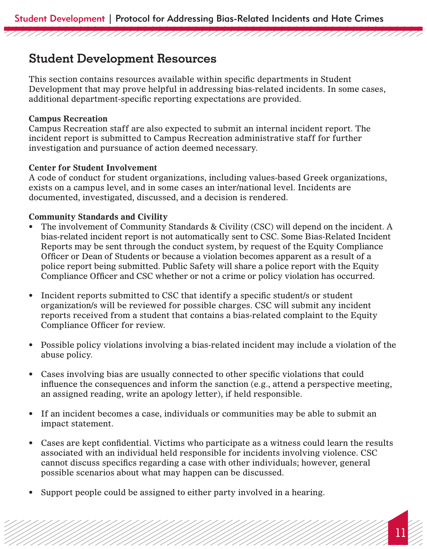## **Student Development Resources**

This section contains resources available within specific departments in Student Development that may prove helpful in addressing bias-related incidents. In some cases, additional department-specific reporting expectations are provided.

### **Campus Recreation**

Campus Recreation staff are also expected to submit an internal incident report. The incident report is submitted to Campus Recreation administrative staff for further investigation and pursuance of action deemed necessary.

## **Center for Student Involvement**

A code of conduct for student organizations, including values-based Greek organizations, exists on a campus level, and in some cases an inter/national level. Incidents are documented, investigated, discussed, and a decision is rendered.

## **Community Standards and Civility**

- The involvement of Community Standards & Civility (CSC) will depend on the incident. A bias-related incident report is not automatically sent to CSC. Some Bias-Related Incident Reports may be sent through the conduct system, by request of the Equity Compliance Officer or Dean of Students or because a violation becomes apparent as a result of a police report being submitted. Public Safety will share a police report with the Equity Compliance Officer and CSC whether or not a crime or policy violation has occurred.
- Incident reports submitted to CSC that identify a specific student/s or student organization/s will be reviewed for possible charges. CSC will submit any incident reports received from a student that contains a bias-related complaint to the Equity Compliance Officer for review.
- Possible policy violations involving a bias-related incident may include a violation of the abuse policy.
- Cases involving bias are usually connected to other specific violations that could influence the consequences and inform the sanction (e.g., attend a perspective meeting, an assigned reading, write an apology letter), if held responsible.
- If an incident becomes a case, individuals or communities may be able to submit an impact statement.
- Cases are kept confidential. Victims who participate as a witness could learn the results associated with an individual held responsible for incidents involving violence. CSC cannot discuss specifics regarding a case with other individuals; however, general possible scenarios about what may happen can be discussed.

11

• Support people could be assigned to either party involved in a hearing.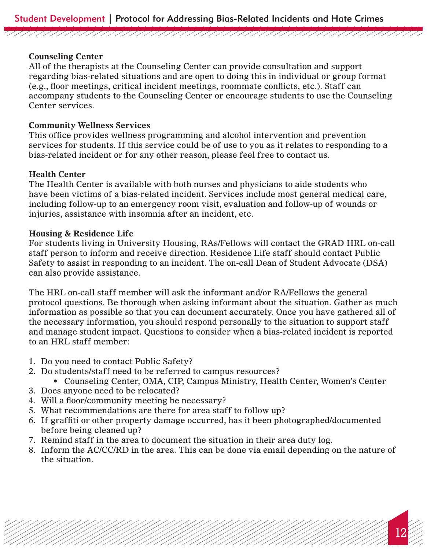### **Counseling Center**

All of the therapists at the Counseling Center can provide consultation and support regarding bias-related situations and are open to doing this in individual or group format (e.g., floor meetings, critical incident meetings, roommate conflicts, etc.). Staff can accompany students to the Counseling Center or encourage students to use the Counseling Center services.

## **Community Wellness Services**

This office provides wellness programming and alcohol intervention and prevention services for students. If this service could be of use to you as it relates to responding to a bias-related incident or for any other reason, please feel free to contact us.

## **Health Center**

The Health Center is available with both nurses and physicians to aide students who have been victims of a bias-related incident. Services include most general medical care, including follow-up to an emergency room visit, evaluation and follow-up of wounds or injuries, assistance with insomnia after an incident, etc.

#### **Housing & Residence Life**

For students living in University Housing, RAs/Fellows will contact the GRAD HRL on-call staff person to inform and receive direction. Residence Life staff should contact Public Safety to assist in responding to an incident. The on-call Dean of Student Advocate (DSA) can also provide assistance.

The HRL on-call staff member will ask the informant and/or RA/Fellows the general protocol questions. Be thorough when asking informant about the situation. Gather as much information as possible so that you can document accurately. Once you have gathered all of the necessary information, you should respond personally to the situation to support staff and manage student impact. Questions to consider when a bias-related incident is reported to an HRL staff member:

- 1. Do you need to contact Public Safety?
- 2. Do students/staff need to be referred to campus resources?
	- Counseling Center, OMA, CIP, Campus Ministry, Health Center, Women's Center
- 3. Does anyone need to be relocated?
- 4. Will a floor/community meeting be necessary?
- 5. What recommendations are there for area staff to follow up?
- 6. If graffiti or other property damage occurred, has it been photographed/documented before being cleaned up?
- 7. Remind staff in the area to document the situation in their area duty log.
- 8. Inform the AC/CC/RD in the area. This can be done via email depending on the nature of the situation.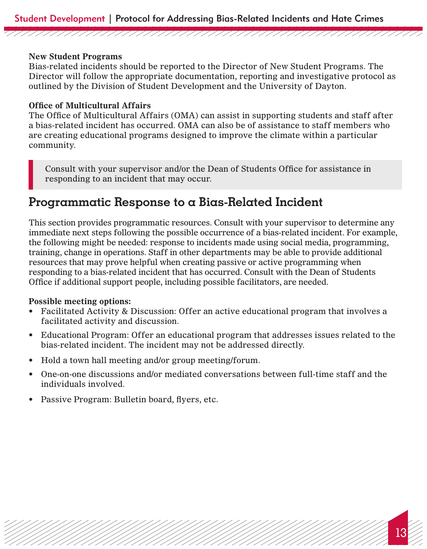#### **New Student Programs**

Bias-related incidents should be reported to the Director of New Student Programs. The Director will follow the appropriate documentation, reporting and investigative protocol as outlined by the Division of Student Development and the University of Dayton.

#### **Office of Multicultural Affairs**

The Office of Multicultural Affairs (OMA) can assist in supporting students and staff after a bias-related incident has occurred. OMA can also be of assistance to staff members who are creating educational programs designed to improve the climate within a particular community.

Consult with your supervisor and/or the Dean of Students Office for assistance in responding to an incident that may occur.

## **Programmatic Response to a Bias-Related Incident**

This section provides programmatic resources. Consult with your supervisor to determine any immediate next steps following the possible occurrence of a bias-related incident. For example, the following might be needed: response to incidents made using social media, programming, training, change in operations. Staff in other departments may be able to provide additional resources that may prove helpful when creating passive or active programming when responding to a bias-related incident that has occurred. Consult with the Dean of Students Office if additional support people, including possible facilitators, are needed.

#### **Possible meeting options:**

- Facilitated Activity & Discussion: Offer an active educational program that involves a facilitated activity and discussion.
- Educational Program: Offer an educational program that addresses issues related to the bias-related incident. The incident may not be addressed directly.
- Hold a town hall meeting and/or group meeting/forum.
- One-on-one discussions and/or mediated conversations between full-time staff and the individuals involved.

13

• Passive Program: Bulletin board, flyers, etc.